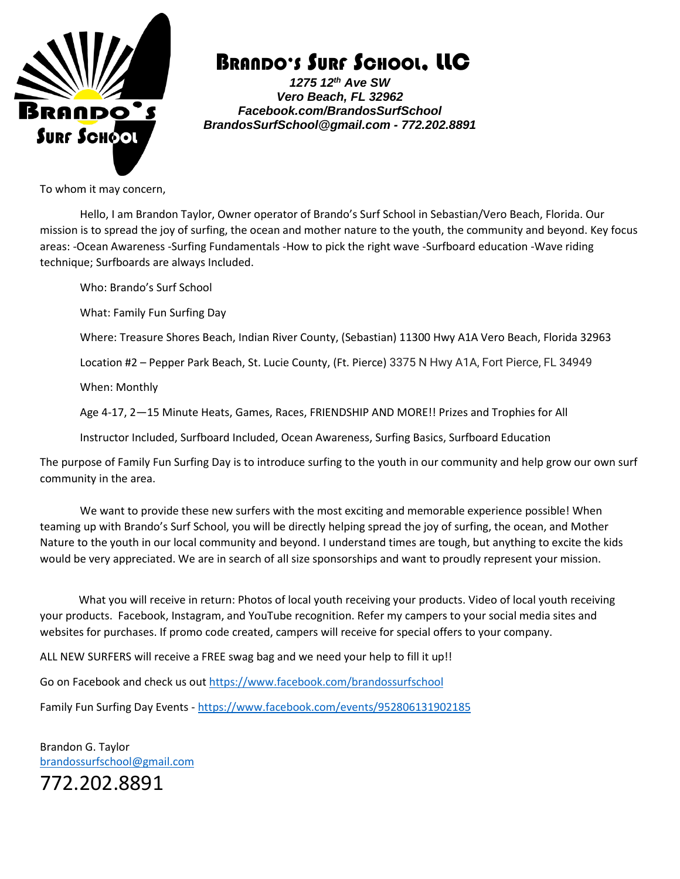

### BRANDO'S SURF SCHOOL, LLC

*1275 12th Ave SW Vero Beach, FL 32962 Facebook.com/BrandosSurfSchool BrandosSurfSchool@gmail.com - 772.202.8891*

To whom it may concern,

Hello, I am Brandon Taylor, Owner operator of Brando's Surf School in Sebastian/Vero Beach, Florida. Our mission is to spread the joy of surfing, the ocean and mother nature to the youth, the community and beyond. Key focus areas: -Ocean Awareness -Surfing Fundamentals -How to pick the right wave -Surfboard education -Wave riding technique; Surfboards are always Included.

Who: Brando's Surf School What: Family Fun Surfing Day Where: Treasure Shores Beach, Indian River County, (Sebastian) 11300 Hwy A1A Vero Beach, Florida 32963 Location #2 – Pepper Park Beach, St. Lucie County, (Ft. Pierce) 3375 N Hwy A1A, Fort Pierce, FL 34949 When: Monthly Age 4-17, 2—15 Minute Heats, Games, Races, FRIENDSHIP AND MORE!! Prizes and Trophies for All Instructor Included, Surfboard Included, Ocean Awareness, Surfing Basics, Surfboard Education The purpose of Family Fun Surfing Day is to introduce surfing to the youth in our community and help grow our own surf community in the area.

We want to provide these new surfers with the most exciting and memorable experience possible! When teaming up with Brando's Surf School, you will be directly helping spread the joy of surfing, the ocean, and Mother Nature to the youth in our local community and beyond. I understand times are tough, but anything to excite the kids would be very appreciated. We are in search of all size sponsorships and want to proudly represent your mission.

 What you will receive in return: Photos of local youth receiving your products. Video of local youth receiving your products. Facebook, Instagram, and YouTube recognition. Refer my campers to your social media sites and websites for purchases. If promo code created, campers will receive for special offers to your company.

ALL NEW SURFERS will receive a FREE swag bag and we need your help to fill it up!!

Go on Facebook and check us out<https://www.facebook.com/brandossurfschool>

Family Fun Surfing Day Events - <https://www.facebook.com/events/952806131902185>

Brandon G. Taylor [brandossurfschool@gmail.com](mailto:brandossurfschool@gmail.com) 772.202.8891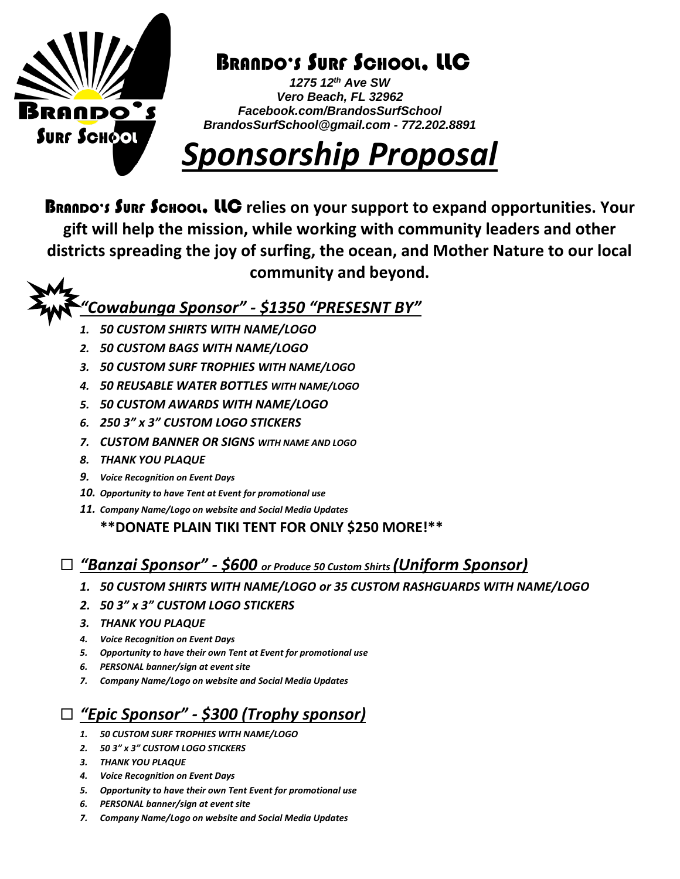

## BRANDO'S SURF SCHOOL, LLC

*1275 12th Ave SW Vero Beach, FL 32962 Facebook.com/BrandosSurfSchool BrandosSurfSchool@gmail.com - 772.202.8891*

# *Sponsorship Proposal*

BRANDO'S SURF SCHOOL, LLC **relies on your support to expand opportunities. Your gift will help the mission, while working with community leaders and other districts spreading the joy of surfing, the ocean, and Mother Nature to our local community and beyond.**

#### *"Cowabunga Sponsor" - \$1350 "PRESESNT BY"*

- *1. 50 CUSTOM SHIRTS WITH NAME/LOGO*
- *2. 50 CUSTOM BAGS WITH NAME/LOGO*
- *3. 50 CUSTOM SURF TROPHIES WITH NAME/LOGO*
- *4. 50 REUSABLE WATER BOTTLES WITH NAME/LOGO*
- *5. 50 CUSTOM AWARDS WITH NAME/LOGO*
- *6. 250 3" x 3" CUSTOM LOGO STICKERS*
- *7. CUSTOM BANNER OR SIGNS WITH NAME AND LOGO*
- *8. THANK YOU PLAQUE*
- *9. Voice Recognition on Event Days*
- *10. Opportunity to have Tent at Event for promotional use*
- *11. Company Name/Logo on website and Social Media Updates*

**\*\*DONATE PLAIN TIKI TENT FOR ONLY \$250 MORE!\*\***

#### *"Banzai Sponsor" - \$600 or Produce 50 Custom Shirts (Uniform Sponsor)*

- *1. 50 CUSTOM SHIRTS WITH NAME/LOGO or 35 CUSTOM RASHGUARDS WITH NAME/LOGO*
- *2. 50 3" x 3" CUSTOM LOGO STICKERS*
- *3. THANK YOU PLAQUE*
- *4. Voice Recognition on Event Days*
- *5. Opportunity to have their own Tent at Event for promotional use*
- *6. PERSONAL banner/sign at event site*
- *7. Company Name/Logo on website and Social Media Updates*

#### *"Epic Sponsor" - \$300 (Trophy sponsor)*

- *1. 50 CUSTOM SURF TROPHIES WITH NAME/LOGO*
- *2. 50 3" x 3" CUSTOM LOGO STICKERS*
- *3. THANK YOU PLAQUE*
- *4. Voice Recognition on Event Days*
- *5. Opportunity to have their own Tent Event for promotional use*
- *6. PERSONAL banner/sign at event site*
- *7. Company Name/Logo on website and Social Media Updates*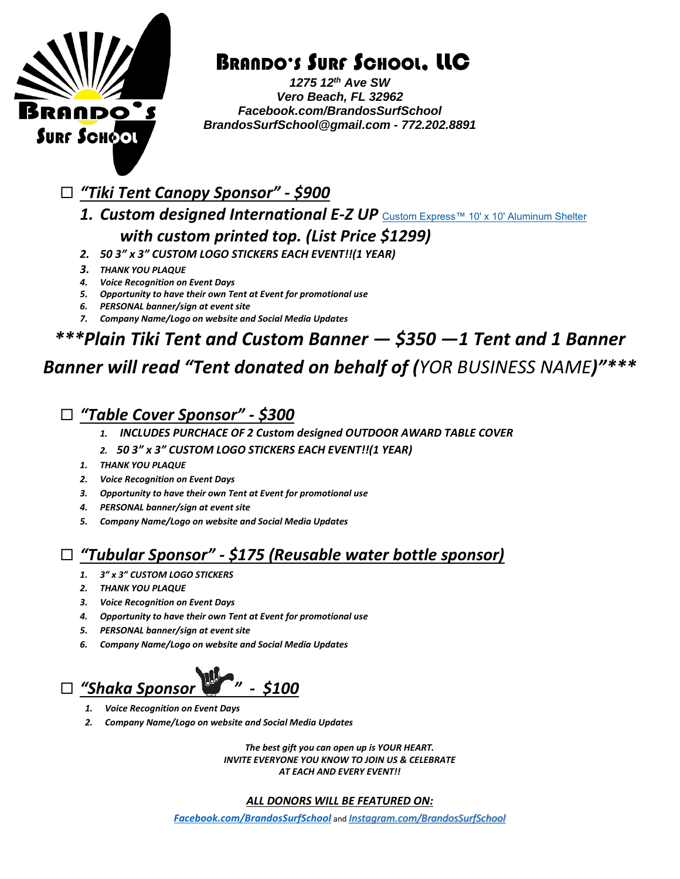

### BRANDO'S SURF SCHOOL, LLC

*1275 12th Ave SW Vero Beach, FL 32962 Facebook.com/BrandosSurfSchool BrandosSurfSchool@gmail.com - 772.202.8891*

- *"Tiki Tent Canopy Sponsor" - \$900*
	- 1. *Custom designed International E-Z UP* [Custom Express™ 10' x 10' Aluminum Shelter](https://www.ezup.com/custom-express.html) *with custom printed top. (List Price \$1299)*
	- *2. 50 3" x 3" CUSTOM LOGO STICKERS EACH EVENT!!(1 YEAR)*
	- *3. THANK YOU PLAQUE*
	- *4. Voice Recognition on Event Days*
	- *5. Opportunity to have their own Tent at Event for promotional use*
	- *6. PERSONAL banner/sign at event site*
	- *7. Company Name/Logo on website and Social Media Updates*

### *\*\*\*Plain Tiki Tent and Custom Banner — \$350 —1 Tent and 1 Banner*

### *Banner will read "Tent donated on behalf of (YOR BUSINESS NAME)"\*\*\**

*"Table Cover Sponsor" - \$300*

- *1. INCLUDES PURCHACE OF 2 Custom designed OUTDOOR AWARD TABLE COVER*
- *2. 50 3" x 3" CUSTOM LOGO STICKERS EACH EVENT!!(1 YEAR)*
- *1. THANK YOU PLAQUE*
- *2. Voice Recognition on Event Days*
- *3. Opportunity to have their own Tent at Event for promotional use*
- *4. PERSONAL banner/sign at event site*
- *5. Company Name/Logo on website and Social Media Updates*

#### *"Tubular Sponsor" - \$175 (Reusable water bottle sponsor)*

- *1. 3" x 3" CUSTOM LOGO STICKERS*
- *2. THANK YOU PLAQUE*
- *3. Voice Recognition on Event Days*
- *4. Opportunity to have their own Tent at Event for promotional use*
- *5. PERSONAL banner/sign at event site*
- *6. Company Name/Logo on website and Social Media Updates*



- *1. Voice Recognition on Event Days*
- *2. Company Name/Logo on website and Social Media Updates*

*The best gift you can open up is YOUR HEART. INVITE EVERYONE YOU KNOW TO JOIN US & CELEBRATE AT EACH AND EVERY EVENT!!*

#### *ALL DONORS WILL BE FEATURED ON:*

*[Facebook.com/BrandosSurfSchool](https://www.facebook.com/BrandosSurfSchool)* and *[Instagram.com/BrandosSurfSchool](https://www.instagram.com/Brandossurfschool)*